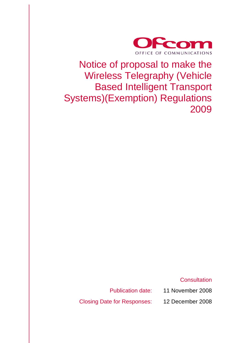

# Notice of proposal to make the Wireless Telegraphy (Vehicle Based Intelligent Transport Systems)(Exemption) Regulations 2009

**Consultation** 

Publication date: 11 November 2008

Closing Date for Responses: 12 December 2008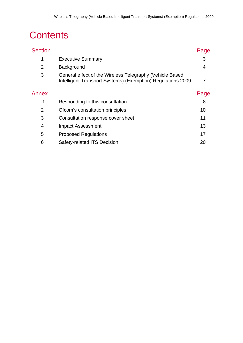# **Contents**

| <b>Section</b> |                                                                                                                         | Page |
|----------------|-------------------------------------------------------------------------------------------------------------------------|------|
| 1              | <b>Executive Summary</b>                                                                                                | 3    |
| 2              | Background                                                                                                              | 4    |
| 3              | General effect of the Wireless Telegraphy (Vehicle Based<br>Intelligent Transport Systems) (Exemption) Regulations 2009 | 7    |
| Annex          |                                                                                                                         | Page |
| 1              | Responding to this consultation                                                                                         | 8    |
| $\overline{2}$ | Ofcom's consultation principles                                                                                         | 10   |
| 3              | Consultation response cover sheet                                                                                       | 11   |
| 4              | <b>Impact Assessment</b>                                                                                                | 13   |
| 5              | <b>Proposed Regulations</b>                                                                                             | 17   |
| 6              | Safety-related ITS Decision                                                                                             | 20   |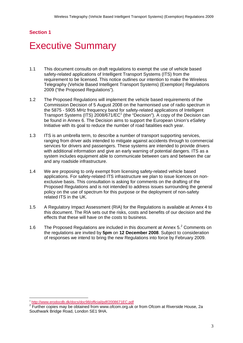# **Section 1**

# **Executive Summary**

- 1.1 This document consults on draft regulations to exempt the use of vehicle based safety-related applications of Intelligent Transport Systems (ITS) from the requirement to be licensed. This notice outlines our intention to make the Wireless Telegraphy (Vehicle Based Intelligent Transport Systems) (Exemption) Regulations 2009 ("the Proposed Regulations").
- 1.2 The Proposed Regulations will implement the vehicle based requirements of the Commission Decision of 5 August 2008 on the harmonised use of radio spectrum in the 5875 - 5905 MHz frequency band for safety-related applications of Intelligent Transport Systems (ITS)  $2008/671/EC<sup>1</sup>$  (the "Decision"). A copy of the Decision can be found in Annex 6. The Decision aims to support the European Union's *e*Safety Initiative with its goal to reduce the number of road fatalities each year.
- 1.3 ITS is an umbrella term, to describe a number of transport supporting services, ranging from driver aids intended to mitigate against accidents through to commercial services for drivers and passengers. These systems are intended to provide drivers with additional information and give an early warning of potential dangers. ITS as a system includes equipment able to communicate between cars and between the car and any roadside infrastructure.
- 1.4 We are proposing to only exempt from licensing safety-related vehicle based applications. For safety-related ITS infrastructure we plan to issue licences on nonexclusive basis. This consultation is asking for comments on the drafting of the Proposed Regulations and is not intended to address issues surrounding the general policy on the use of spectrum for this purpose or the deployment of non-safety related ITS in the UK.
- 1.5 A Regulatory Impact Assessment (RIA) for the Regulations is available at Annex 4 to this document. The RIA sets out the risks, costs and benefits of our decision and the effects that these will have on the costs to business.
- 1.6 The Proposed Regulations are included in this document at Annex 5.<sup>2</sup> Comments on the regulations are invited by **5pm** on **12 December 2008**. Subject to consideration of responses we intend to bring the new Regulations into force by February 2009.

<sup>1</sup>  $\frac{1 \text{ http://www.erodocdb.dk/docs/doc98/official/pdf/2008671EC.pdf}}{2 \text{ Further series}}$ 

<sup>&</sup>lt;sup>2</sup> Further copies may be obtained from www.ofcom.org.uk or from Ofcom at Riverside House, 2a Southwark Bridge Road, London SE1 9HA.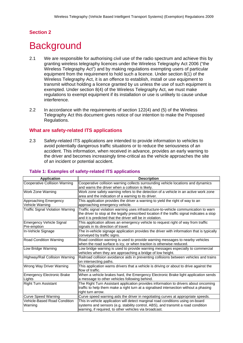# **Section 2**

# **Background**

- 2.1 We are responsible for authorising civil use of the radio spectrum and achieve this by granting wireless telegraphy licences under the Wireless Telegraphy Act 2006 ("the Wireless Telegraphy Act") and by making regulations exempting users of particular equipment from the requirement to hold such a licence. Under section 8(1) of the Wireless Telegraphy Act, it is an offence to establish, install or use equipment to transmit without holding a licence granted by us unless the use of such equipment is exempted. Under section 8(4) of the Wireless Telegraphy Act, we must make regulations to exempt equipment if its installation or use is unlikely to cause undue interference.
- 2.2 In accordance with the requirements of section 122(4) and (5) of the Wireless Telegraphy Act this document gives notice of our intention to make the Proposed Regulations.

## **What are safety-related ITS applications**

2.3 Safety-related ITS applications are intended to provide information to vehicles to avoid potentially dangerous traffic situations or to reduce the seriousness of an accident. This information, when received in advance, provides an early warning to the driver and becomes increasingly time-critical as the vehicle approaches the site of an incident or potential accident.

| <b>Application</b>                      | <b>Description</b>                                                                                                                                                                                                                                 |  |  |
|-----------------------------------------|----------------------------------------------------------------------------------------------------------------------------------------------------------------------------------------------------------------------------------------------------|--|--|
| <b>Cooperative Collision Warning</b>    | Cooperative collision warning collects surrounding vehicle locations and dynamics                                                                                                                                                                  |  |  |
|                                         | and warns the driver when a collision is likely.                                                                                                                                                                                                   |  |  |
| Work Zone Warning                       | Work zone safety warning refers to the detection of a vehicle in an active work zone                                                                                                                                                               |  |  |
|                                         | area and the indication of a warning to its driver.                                                                                                                                                                                                |  |  |
| Approaching Emergency                   | This application provides the driver a warning to yield the right of way to an                                                                                                                                                                     |  |  |
| Vehicle Warning                         | approaching emergency vehicle.                                                                                                                                                                                                                     |  |  |
| <b>Traffic Signal Violation Warning</b> | Traffic signal violation warning uses infrastructure-to-vehicle communication to warn<br>the driver to stop at the legally prescribed location if the traffic signal indicates a stop<br>and it is predicted that the driver will be in violation. |  |  |
| Emergency Vehicle Signal<br>Pre-emption | This application allows an emergency vehicle to request right of way from traffic<br>signals in its direction of travel.                                                                                                                           |  |  |
| In-Vehicle Signage                      | The in-vehicle signage application provides the driver with information that is typically<br>conveyed by traffic signs.                                                                                                                            |  |  |
| Road Condition Warning                  | Road condition warning is used to provide warning messages to nearby vehicles<br>when the road surface is icy, or when traction is otherwise reduced.                                                                                              |  |  |
| Low Bridge Warning                      | Low bridge warning is used to provide warning messages especially to commercial                                                                                                                                                                    |  |  |
|                                         | vehicles when they are approaching a bridge of low height.                                                                                                                                                                                         |  |  |
| Highway/Rail Collision Warning          | Railroad collision avoidance aids in preventing collisions between vehicles and trains<br>on intersecting paths.                                                                                                                                   |  |  |
| Wrong Way Driver Warning                | This application warns drivers that a vehicle is driving or about to drive against the<br>lflow of traffic.                                                                                                                                        |  |  |
| <b>Emergency Electronic Brake</b>       | When a vehicle brakes hard, the Emergency Electronic Brake light application sends                                                                                                                                                                 |  |  |
| Lights                                  | a message to other vehicles following behind.                                                                                                                                                                                                      |  |  |
| <b>Right Turn Assistant</b>             | The Right Turn Assistant application provides information to drivers about oncoming                                                                                                                                                                |  |  |
|                                         | traffic to help them make a right turn at a signalised intersection without a phasing<br>right turn arrow.                                                                                                                                         |  |  |
| <b>Curve Speed Warning</b>              | Curve speed warning aids the driver in negotiating curves at appropriate speeds.                                                                                                                                                                   |  |  |
| <b>Vehicle-Based Road Condition</b>     | This in-vehicle application will detect marginal road conditions using on-board                                                                                                                                                                    |  |  |
| Warning                                 | systems and sensors (e.g. stability control, ABS), and transmit a road condition<br>warning, if required, to other vehicles via broadcast.                                                                                                         |  |  |
|                                         |                                                                                                                                                                                                                                                    |  |  |

## **Table 1: Examples of safety-related ITS applications**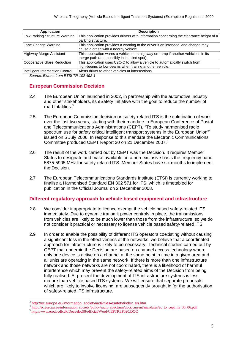| <b>Application</b>               | <b>Description</b>                                                                                                                    |
|----------------------------------|---------------------------------------------------------------------------------------------------------------------------------------|
| Low Parking Structure Warning    | This application provides drivers with information concerning the clearance height of a<br>parking structure.                         |
| Lane Change Warning              | This application provides a warning to the driver if an intended lane change may<br>cause a crash with a nearby vehicle.              |
| Highway Merge Assistant          | This application warns a vehicle on a highway on-ramp if another vehicle is in its<br>merge path (and possibly in its blind spot).    |
| Cooperative Glare Reduction      | This application uses C2C-C to allow a vehicle to automatically switch from<br>high-beams to low-beams when trailing another vehicle. |
| Intelligent Intersection Control | Alerts driver to other vehicles at intersections.                                                                                     |

*Source: Extract from ETSI TR 102 492-1* 

# **European Commission Decision**

- 2.4 The European Union launched in 2002, in partnership with the automotive industry and other stakeholders, its *e*Safety Initiative with the goal to reduce the number of road fatalities.<sup>3</sup>
- 2.5 The European Commission decision on safety-related ITS is the culmination of work over the last two years, starting with their mandate to European Conference of Postal and Telecommunications Administrations (CEPT), "To study harmonised radio spectrum use for safety critical intelligent transport systems in the European Union<sup>"4</sup> issued on 5 July 2006. In response to this mandate the Electronic Communications Committee produced CEPT Report 20 on 21 December 2007.<sup>5</sup>
- 2.6 The result of the work carried out by CEPT was the Decision. It requires Member States to designate and make available on a non-exclusive basis the frequency band 5875-5905 MHz for safety-related ITS. Member States have six months to implement the Decision.
- 2.7 The European Telecommunications Standards Institute (ETSI) is currently working to finalise a Harmonised Standard EN 302 571 for ITS, which is timetabled for publication in the Official Journal on 2 December 2008.

# **Different regulatory approach to vehicle based equipment and infrastructure**

- 2.8 We consider it appropriate to licence exempt the vehicle based safety-related ITS immediately. Due to dynamic transmit power controls in place, the transmissions from vehicles are likely to be much lower than those from the infrastructure, so we do not consider it practical or necessary to license vehicle based safety-related ITS.
- 2.9 In order to enable the possibility of different ITS operators coexisting without causing a significant loss in the effectiveness of the networks, we believe that a coordinated approach for infrastructure is likely to be necessary. Technical studies carried out by CEPT that underpin the Decision are based on channel access technology where only one device is active on a channel at the same point in time in a given area and all units are operating in the same network. If there is more than one infrastructure network and those networks are not coordinated, there is a likelihood of harmful interference which may prevent the safety-related aims of the Decision from being fully realised. At present the development of ITS infrastructure systems is less mature than vehicle based ITS systems. We will ensure that separate proposals, which are likely to involve licensing, are subsequently brought in for the authorisation of safety-related ITS infrastructure.

1

<sup>&</sup>lt;sup>3</sup> http://ec.europa.eu/information\_society/activities/esafety/index\_en.htm<br>
<sup>4</sup> http://ec.europa.eu/information\_society/policy/radio\_spectrum/docs/current/mandates/ec\_to\_cept\_its\_06\_06.pdf<br>
<sup>5</sup> http://www.erodocdb.dk/Docs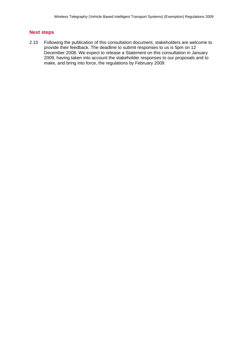## **Next steps**

2.10 Following the publication of this consultation document, stakeholders are welcome to provide their feedback. The deadline to submit responses to us is 5pm on 12 December 2008. We expect to release a Statement on this consultation in January 2009, having taken into account the stakeholder responses to our proposals and to make, and bring into force, the regulations by February 2009.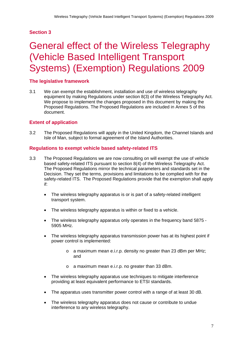# **Section 3**

# 3 General effect of the Wireless Telegraphy (Vehicle Based Intelligent Transport Systems) (Exemption) Regulations 2009

# **The legislative framework**

3.1 We can exempt the establishment, installation and use of wireless telegraphy equipment by making Regulations under section 8(3) of the Wireless Telegraphy Act. We propose to implement the changes proposed in this document by making the Proposed Regulations. The Proposed Regulations are included in Annex 5 of this document.

# **Extent of application**

3.2 The Proposed Regulations will apply in the United Kingdom, the Channel Islands and Isle of Man, subject to formal agreement of the Island Authorities.

## **Regulations to exempt vehicle based safety-related ITS**

- 3.3 The Proposed Regulations we are now consulting on will exempt the use of vehicle based safety-related ITS pursuant to section 8(4) of the Wireless Telegraphy Act. The Proposed Regulations mirror the technical parameters and standards set in the Decision. They set the terms, provisions and limitations to be complied with for the safety-related ITS. The Proposed Regulations provide that the exemption shall apply if:
	- The wireless telegraphy apparatus is or is part of a safety-related intelligent transport system.
	- The wireless telegraphy apparatus is within or fixed to a vehicle.
	- The wireless telegraphy apparatus only operates in the frequency band 5875 5905 MHz.
	- The wireless telegraphy apparatus transmission power has at its highest point if power control is implemented:
		- o a maximum mean e.i.r.p. density no greater than 23 dBm per MHz; and
		- o a maximum mean e.i.r.p. no greater than 33 dBm.
	- The wireless telegraphy apparatus use techniques to mitigate interference providing at least equivalent performance to ETSI standards.
	- The apparatus uses transmitter power control with a range of at least 30 dB.
	- The wireless telegraphy apparatus does not cause or contribute to undue interference to any wireless telegraphy.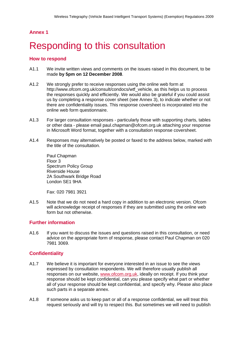# Responding to this consultation

## **How to respond**

- A1.1 We invite written views and comments on the issues raised in this document, to be made **by 5pm on 12 December 2008**.
- A1.2 We strongly prefer to receive responses using the online web form at http://www.ofcom.org.uk/consult/condocs/wtf\_vehicle, as this helps us to process the responses quickly and efficiently. We would also be grateful if you could assist us by completing a response cover sheet (see Annex 3), to indicate whether or not there are confidentiality issues. This response coversheet is incorporated into the online web form questionnaire.
- A1.3 For larger consultation responses particularly those with supporting charts, tables or other data - please email paul.chapman@ofcom.org.uk attaching your response in Microsoft Word format, together with a consultation response coversheet.
- A1.4 Responses may alternatively be posted or faxed to the address below, marked with the title of the consultation.

Paul Chapman Floor 3 Spectrum Policy Group Riverside House 2A Southwark Bridge Road London SE1 9HA

Fax: 020 7981 3921

A1.5 Note that we do not need a hard copy in addition to an electronic version. Ofcom will acknowledge receipt of responses if they are submitted using the online web form but not otherwise.

# **Further information**

A1.6 If you want to discuss the issues and questions raised in this consultation, or need advice on the appropriate form of response, please contact Paul Chapman on 020 7981 3069.

# **Confidentiality**

- A1.7 We believe it is important for everyone interested in an issue to see the views expressed by consultation respondents. We will therefore usually publish all responses on our website, www.ofcom.org.uk, ideally on receipt. If you think your response should be kept confidential, can you please specify what part or whether all of your response should be kept confidential, and specify why. Please also place such parts in a separate annex.
- A1.8 If someone asks us to keep part or all of a response confidential, we will treat this request seriously and will try to respect this. But sometimes we will need to publish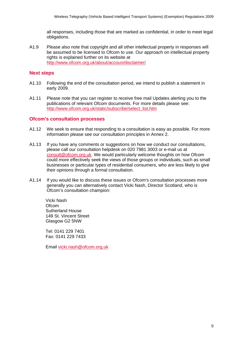all responses, including those that are marked as confidential, in order to meet legal obligations.

A1.9 Please also note that copyright and all other intellectual property in responses will be assumed to be licensed to Ofcom to use. Our approach on intellectual property rights is explained further on its website at http://www.ofcom.org.uk/about/accoun/disclaimer/

## **Next steps**

- A1.10 Following the end of the consultation period, we intend to publish a statement in early 2009.
- A1.11 Please note that you can register to receive free mail Updates alerting you to the publications of relevant Ofcom documents. For more details please see: http://www.ofcom.org.uk/static/subscribe/select\_list.htm

## **Ofcom's consultation processes**

- A1.12 We seek to ensure that responding to a consultation is easy as possible. For more information please see our consultation principles in Annex 2.
- A1.13 If you have any comments or suggestions on how we conduct our consultations, please call our consultation helpdesk on 020 7981 3003 or e-mail us at consult@ofcom.org.uk. We would particularly welcome thoughts on how Ofcom could more effectively seek the views of those groups or individuals, such as small businesses or particular types of residential consumers, who are less likely to give their opinions through a formal consultation.
- A1.14 If you would like to discuss these issues or Ofcom's consultation processes more generally you can alternatively contact Vicki Nash, Director Scotland, who is Ofcom's consultation champion:

Vicki Nash **Ofcom** Sutherland House 149 St. Vincent Street Glasgow G2 5NW

Tel: 0141 229 7401 Fax: 0141 229 7433

Email vicki.nash@ofcom.org.uk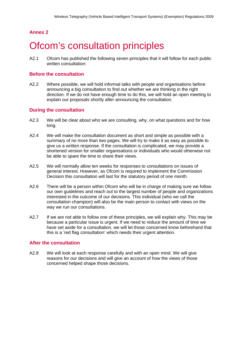# **Ofcom's consultation principles**

A2.1 Ofcom has published the following seven principles that it will follow for each public written consultation:

## **Before the consultation**

A2.2 Where possible, we will hold informal talks with people and organisations before announcing a big consultation to find out whether we are thinking in the right direction. If we do not have enough time to do this, we will hold an open meeting to explain our proposals shortly after announcing the consultation.

## **During the consultation**

- A2.3 We will be clear about who we are consulting, why, on what questions and for how long.
- A2.4 We will make the consultation document as short and simple as possible with a summary of no more than two pages. We will try to make it as easy as possible to give us a written response. If the consultation is complicated, we may provide a shortened version for smaller organisations or individuals who would otherwise not be able to spare the time to share their views.
- A2.5 We will normally allow ten weeks for responses to consultations on issues of general interest. However, as Ofcom is required to implement the Commission Decision this consultation will last for the statutory period of one month.
- A2.6 There will be a person within Ofcom who will be in charge of making sure we follow our own guidelines and reach out to the largest number of people and organizations interested in the outcome of our decisions. This individual (who we call the consultation champion) will also be the main person to contact with views on the way we run our consultations.
- A2.7 If we are not able to follow one of these principles, we will explain why. This may be because a particular issue is urgent. If we need to reduce the amount of time we have set aside for a consultation, we will let those concerned know beforehand that this is a 'red flag consultation' which needs their urgent attention.

# **After the consultation**

A2.8 We will look at each response carefully and with an open mind. We will give reasons for our decisions and will give an account of how the views of those concerned helped shape those decisions.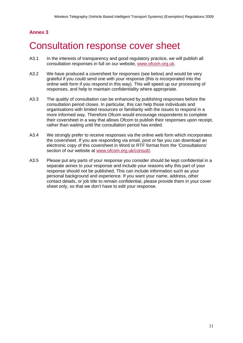# 3 Consultation response cover sheet

- A3.1 In the interests of transparency and good regulatory practice, we will publish all consultation responses in full on our website, www.ofcom.org.uk.
- A3.2 We have produced a coversheet for responses (see below) and would be very grateful if you could send one with your response (this is incorporated into the online web form if you respond in this way). This will speed up our processing of responses, and help to maintain confidentiality where appropriate.
- A3.3 The quality of consultation can be enhanced by publishing responses before the consultation period closes. In particular, this can help those individuals and organisations with limited resources or familiarity with the issues to respond in a more informed way. Therefore Ofcom would encourage respondents to complete their coversheet in a way that allows Ofcom to publish their responses upon receipt, rather than waiting until the consultation period has ended.
- A3.4 We strongly prefer to receive responses via the online web form which incorporates the coversheet. If you are responding via email, post or fax you can download an electronic copy of this coversheet in Word or RTF format from the 'Consultations' section of our website at www.ofcom.org.uk/consult/.
- A3.5 Please put any parts of your response you consider should be kept confidential in a separate annex to your response and include your reasons why this part of your response should not be published. This can include information such as your personal background and experience. If you want your name, address, other contact details, or job title to remain confidential, please provide them in your cover sheet only, so that we don't have to edit your response.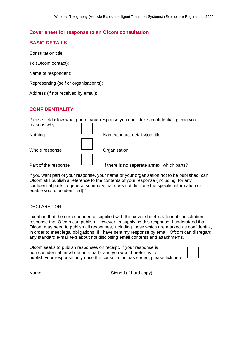# **Cover sheet for response to an Ofcom consultation**

| <b>BASIC DETAILS</b>                                                                                                                                                                                                                                                                                                                                                                                                                                                |  |  |  |
|---------------------------------------------------------------------------------------------------------------------------------------------------------------------------------------------------------------------------------------------------------------------------------------------------------------------------------------------------------------------------------------------------------------------------------------------------------------------|--|--|--|
| Consultation title:                                                                                                                                                                                                                                                                                                                                                                                                                                                 |  |  |  |
| To (Ofcom contact):                                                                                                                                                                                                                                                                                                                                                                                                                                                 |  |  |  |
| Name of respondent:                                                                                                                                                                                                                                                                                                                                                                                                                                                 |  |  |  |
| Representing (self or organisation/s):                                                                                                                                                                                                                                                                                                                                                                                                                              |  |  |  |
| Address (if not received by email):                                                                                                                                                                                                                                                                                                                                                                                                                                 |  |  |  |
| <b>CONFIDENTIALITY</b>                                                                                                                                                                                                                                                                                                                                                                                                                                              |  |  |  |
| Please tick below what part of your response you consider is confidential, giving your<br>reasons why                                                                                                                                                                                                                                                                                                                                                               |  |  |  |
| Nothing<br>Name/contact details/job title                                                                                                                                                                                                                                                                                                                                                                                                                           |  |  |  |
| Whole response<br>Organisation                                                                                                                                                                                                                                                                                                                                                                                                                                      |  |  |  |
| Part of the response<br>If there is no separate annex, which parts?                                                                                                                                                                                                                                                                                                                                                                                                 |  |  |  |
| If you want part of your response, your name or your organisation not to be published, can<br>Ofcom still publish a reference to the contents of your response (including, for any<br>confidential parts, a general summary that does not disclose the specific information or<br>enable you to be identified)?                                                                                                                                                     |  |  |  |
| <b>DECLARATION</b>                                                                                                                                                                                                                                                                                                                                                                                                                                                  |  |  |  |
| I confirm that the correspondence supplied with this cover sheet is a formal consultation<br>response that Ofcom can publish. However, in supplying this response, I understand that<br>Ofcom may need to publish all responses, including those which are marked as confidential,<br>in order to meet legal obligations. If I have sent my response by email, Ofcom can disregard<br>any standard e-mail text about not disclosing email contents and attachments. |  |  |  |
| Ofcom seeks to publish responses on receipt. If your response is<br>non-confidential (in whole or in part), and you would prefer us to<br>publish your response only once the consultation has ended, please tick here.                                                                                                                                                                                                                                             |  |  |  |
| Name<br>Signed (if hard copy)                                                                                                                                                                                                                                                                                                                                                                                                                                       |  |  |  |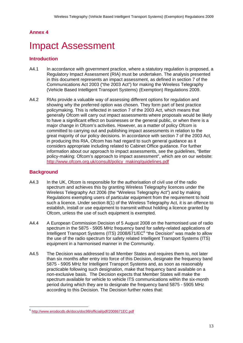# **Impact Assessment**

# **Introduction**

- A4.1 In accordance with government practice, where a statutory regulation is proposed, a Regulatory Impact Assessment (RIA) must be undertaken. The analysis presented in this document represents an impact assessment, as defined in section 7 of the Communications Act 2003 ("the 2003 Act") for making the Wireless Telegraphy (Vehicle Based Intelligent Transport Systems) (Exemption) Regulations 2009.
- A4.2 RIAs provide a valuable way of assessing different options for regulation and showing why the preferred option was chosen. They form part of best practice policymaking. This is reflected in section 7 of the 2003 Act, which means that generally Ofcom will carry out impact assessments where proposals would be likely to have a significant effect on businesses or the general public, or when there is a major change in Ofcom's activities. However, as a matter of policy Ofcom is committed to carrying out and publishing impact assessments in relation to the great majority of our policy decisions. In accordance with section 7 of the 2003 Act, in producing this RIA, Ofcom has had regard to such general guidance as it considers appropriate including related to Cabinet Office guidance. For further information about our approach to impact assessments, see the guidelines, "Better policy-making: Ofcom's approach to impact assessment", which are on our website: http://www.ofcom.org.uk/consult/policy\_making/guidelines.pdf

# **Background**

1

- A4.3 In the UK, Ofcom is responsible for the authorisation of civil use of the radio spectrum and achieves this by granting Wireless Telegraphy licences under the Wireless Telegraphy Act 2006 (the "Wireless Telegraphy Act") and by making Regulations exempting users of particular equipment from the requirement to hold such a licence. Under section 8(1) of the Wireless Telegraphy Act, it is an offence to establish, install or use equipment to transmit without holding a licence granted by Ofcom, unless the use of such equipment is exempted.
- A4.4 A European Commission Decision of 5 August 2008 on the harmonised use of radio spectrum in the 5875 - 5905 MHz frequency band for safety-related applications of Intelligent Transport Systems (ITS)  $2008/671/EC<sup>6</sup>$  "the Decision" was made to allow the use of the radio spectrum for safety related Intelligent Transport Systems (ITS) equipment in a harmonised manner in the Community.
- A4.5 The Decision was addressed to all Member States and requires them to, not later than six months after entry into force of this Decision, designate the frequency band 5875 - 5905 MHz for Intelligent Transport Systems and, as soon as reasonably practicable following such designation, make that frequency band available on a non-exclusive basis. The Decision expects that Member States will make the spectrum available for vehicle to vehicle ITS communications within the six-month period during which they are to designate the frequency band 5875 - 5905 MHz according to this Decision. The Decision further notes that:

<sup>6</sup> http://www.erodocdb.dk/docs/doc98/official/pdf/2008671EC.pdf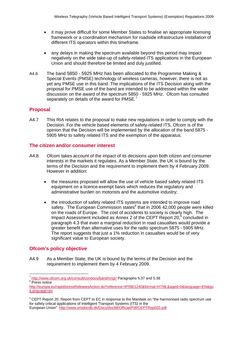- it may prove difficult for some Member States to finalise an appropriate licensing framework or a coordination mechanism for roadside infrastructure installation of different ITS operators within this timeframe.
- any delays in making the spectrum available beyond this period may impact negatively on the wide take-up of safety-related ITS applications in the European Union and should therefore be limited and duly justified.
- A4.6 The band 5850 5925 MHz has been allocated to the Programme Making & Special Events (PMSE) technology of wireless cameras, however, there is not as yet any PMSE use in this band. The implications of the ITS Decision along with the proposal for PMSE use of the band are intended to be addressed within the wider discussion on the award of the spectrum 5850 - 5925 MHz. Ofcom has consulted separately on details of the award for PMSE.<sup>7</sup>

# **Proposal**

A4.7 This RIA relates to the proposal to make new regulations in order to comply with the Decision. For the vehicle based elements of safety-related ITS, Ofcom is of the opinion that the Decision will be implemented by the allocation of the band 5875 - 5905 MHz to safety related ITS and the exemption of the apparatus.

### **The citizen and/or consumer interest**

- A4.8 Ofcom takes account of the impact of its decisions upon both citizen and consumer interests in the markets it regulates. As a Member State, the UK is bound by the terms of the Decision and the requirement to implement them by 4 February 2009. However in addition:
	- the measures proposed will allow the use of vehicle based safety related ITS equipment on a licence-exempt basis which reduces the regulatory and administrative burden on motorists and the automotive industry;
	- the introduction of safety related ITS systems are intended to improve road safety. The European Commission states<sup>8</sup> that in 2006 42,000 people were killed on the roads of Europe. The cost of accidents to society is clearly high. The Impact Assessment included as Annex 2 of the CEPT Report  $20<sup>9</sup>$  concluded in paragraph 4.3 that even a marginal reduction in road casualties would provide a greater benefit than alternative uses for the radio spectrum 5875 - 5905 MHz. The report suggests that just a 1% reduction in casualties would be of very significant value to European society.

# **Ofcom's policy objective**

1

A4.9 As a Member State, the UK is bound by the terms of the Decision and the requirement to implement them by 4 February 2009.

 $\frac{7 \text{ http://www.ofcom.org.uk/consult/condocs/bandmngr/}$  Paragraphs 5.37 and 5.38 <sup>8</sup> Press notice

http://europa.eu/rapid/pressReleasesAction.do?reference=IP/08/1240&format=HTML&aged=0&language=EN&gu iLanguage=en

<sup>9</sup> CEPT Report 20. Report from CEPT to EC in response to the Mandate on "the harmonised radio spectrum use for safety critical applications of Intelligent Transport Systems (ITS) in the European Union" http://www.erodocdb.dk/Docs/doc98/Official/Pdf/CEPTRep020.pdf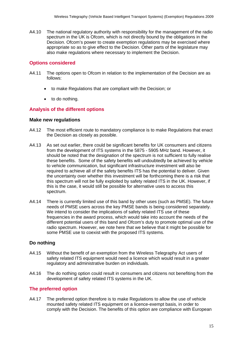A4.10 The national regulatory authority with responsibility for the management of the radio spectrum in the UK is Ofcom, which is not directly bound by the obligations in the Decision. Ofcom's power to create exemption regulations may be exercised where appropriate so as to give effect to the Decision. Other parts of the legislature may also make regulations where necessary to implement the Decision.

## **Options considered**

- A4.11 The options open to Ofcom in relation to the implementation of the Decision are as follows:
	- to make Regulations that are compliant with the Decision; or
	- to do nothing.

## **Analysis of the different options**

#### **Make new regulations**

- A4.12 The most efficient route to mandatory compliance is to make Regulations that enact the Decision as closely as possible.
- A4.13 As set out earlier, there could be significant benefits for UK consumers and citizens from the development of ITS systems in the 5875 - 5905 MHz band. However, it should be noted that the designation of the spectrum is not sufficient to fully realise these benefits. Some of the safety benefits will undoubtedly be achieved by vehicle to vehicle communication, but significant infrastructure investment will also be required to achieve all of the safety benefits ITS has the potential to deliver. Given the uncertainty over whether this investment will be forthcoming there is a risk that this spectrum will not be fully exploited by safety related ITS in the UK. However, if this is the case, it would still be possible for alternative uses to access this spectrum.
- A4.14 There is currently limited use of this band by other uses (such as PMSE). The future needs of PMSE users across the key PMSE bands is being considered separately. We intend to consider the implications of safety related ITS use of these frequencies in the award process, which would take into account the needs of the different potential users of this band and Ofcom's duty to promote optimal use of the radio spectrum. However, we note here that we believe that it might be possible for some PMSE use to coexist with the proposed ITS systems.

### **Do nothing**

- A4.15 Without the benefit of an exemption from the Wireless Telegraphy Act users of safety related ITS equipment would need a licence which would result in a greater regulatory and administrative burden on individuals.
- A4.16 The do nothing option could result in consumers and citizens not benefiting from the development of safety related ITS systems in the UK.

### **The preferred option**

A4.17 The preferred option therefore is to make Regulations to allow the use of vehicle mounted safety related ITS equipment on a licence-exempt basis, in order to comply with the Decision. The benefits of this option are compliance with European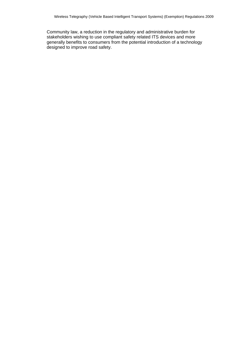Community law, a reduction in the regulatory and administrative burden for stakeholders wishing to use compliant safety related ITS devices and more generally benefits to consumers from the potential introduction of a technology designed to improve road safety.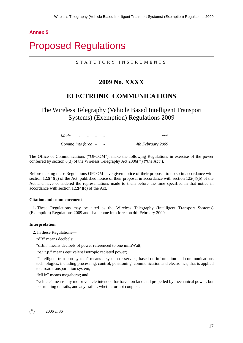# 5 Proposed Regulations

# STATUTORY INSTRUMENTS

# **2009 No. XXXX**

# **ELECTRONIC COMMUNICATIONS**

The Wireless Telegraphy (Vehicle Based Intelligent Transport Systems) (Exemption) Regulations 2009

> *Made - - - - \*\*\* Coming into force - - 4th February 2009*

The Office of Communications ("OFCOM"), make the following Regulations in exercise of the power conferred by section 8(3) of the Wireless Telegraphy Act  $2006<sup>(10)</sup>$  ("the Act").

Before making these Regulations OFCOM have given notice of their proposal to do so in accordance with section 122(4)(a) of the Act, published notice of their proposal in accordance with section 122(4)(b) of the Act and have considered the representations made to them before the time specified in that notice in accordance with section 122(4)(c) of the Act.

#### **Citation and commencement**

**1.** These Regulations may be cited as the Wireless Telegraphy (Intelligent Transport Systems) (Exemption) Regulations 2009 and shall come into force on 4th February 2009.

#### **Interpretation**

**2.** In these Regulations—

"dB" means decibels;

"dBm" means decibels of power referenced to one milliWatt;

"e.i.r.p." means equivalent isotropic radiated power;

 "intelligent transport system" means a system or service, based on information and communications technologies, including processing, control, positioning, communication and electronics, that is applied to a road transportation system;

"MHz" means megahertz; and

"vehicle" means any motor vehicle intended for travel on land and propelled by mechanical power, but not running on rails, and any trailer, whether or not coupled.

1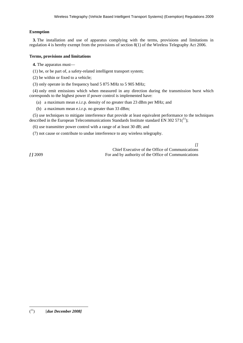#### **Exemption**

**3.** The installation and use of apparatus complying with the terms, provisions and limitations in regulation 4 is hereby exempt from the provisions of section 8(1) of the Wireless Telegraphy Act 2006.

#### **Terms, provisions and limitations**

**4.** The apparatus must—

(1) be, or be part of, a safety-related intelligent transport system;

(2) be within or fixed to a vehicle;

(3) only operate in the frequency band 5 875 MHz to 5 905 MHz;

(4) only emit emissions which when measured in any direction during the transmission burst which corresponds to the highest power if power control is implemented have:

(a) a maximum mean e.i.r.p. density of no greater than 23 dBm per MHz; and

(b) a maximum mean e.i.r.p. no greater than 33 dBm;

(5) use techniques to mitigate interference that provide at least equivalent performance to the techniques described in the European Telecommunications Standards Institute standard EN 302 571 $(11)$ ;

(6) use transmitter power control with a range of at least 30 dB; and

(7) not cause or contribute to undue interference to any wireless telegraphy.

*[]* Chief Executive of the Office of Communications *[ ]* 2009 For and by authority of the Office of Communications

1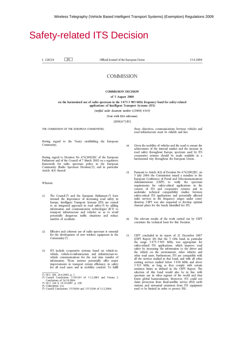# **Safety-related ITS Decision**

L 220/24 EN 1 Official Journal of the European Union

15.8.2008

#### **COMMISSION**

#### **COMMISSION DECISION**

#### of 5 August 2008

on the harmonised use of radio spectrum in the 5 875-5 905 MHz frequency band for safety-related applications of Intelligent Transport Systems (ITS)

(notified under document number C(2008) 4145)

(Text with EEA relevance)

(2008/671/EC)

THE COMMISSION OF THE EUROPEAN COMMUNITIES.

Having regard to the Treaty establishing the European Community,

Having regard to Decision No 676/2002/EC of the European Parliament and of the Council of 7 March 2002 on a regulatory framework for radio spectrum policy in the European Community (Radio Spectrum Decision) (i), and in particular Article 4(3) thereof,

#### Whereas:

- The Council (2) and the European Parliament (3) have  $(1)$ stressed the importance of increasing road safety in Europe. Intelligent Transport Systems (ITS) are central to an integrated approach in road safety (4) by adding information and communication technologies (ICT) to transport infrastructure and vehicles so as to avoid potentially dangerous traffic situations and reduce number of accidents.
- $(2)$ Effective and coherent use of radio spectrum is essential for the development of new wireless equipment in the Community  $(5)$ .
- $(3)$ ITS include cooperative systems based on vehicle-tovehicle, vehicle-to-infrastructure and infrastructure-to-<br>vehicle communications for the real time transfer of information. Those systems potentially offer major improvements in transport system efficiency, in safety for all road users and in mobility comfort. To fulfil

those objectives, communications between vehicles and road infrastructure must be reliable and fast.

- Given the mobility of vehicles and the need to ensure the<br>achievement of the internal market and the increase in  $(4)$ road safety throughout Europe, spectrum used by ITS<br>cooperative systems should be made available in a harmonised way throughout the European Union.
- Pursuant to Article 4(2) of Decision No 676/2002/EC, on  $(5)$ 5 July 2006 the Commission issued a mandate to the European Conference of Postal and Telecommunications Administrations (CEPT) to verify the spectrum requirements for safety-critical applications in the<br>context of ITS and cooperative systems and to<br>undertake technical compatibility studies between safety-critical ITS applications and potentially affected<br>radio services in the frequency ranges under consideration. CEPT was also requested to develop optimal channel plans for the bands identified for ITS.
- The relevant results of the work carried out by CEPT  $(6)$ constitute the technical basis for this Decision.
- CEPT concluded in its report of 21 December 2007  $(7)$ (CEPT Report 20) that the 5 GHz band, in particular the range 5 875-5 905 MHz, was appropriate for safety-related ITS applications, which improve road safety by increasing the information to the driver and the vehicle on the environment, other vehicles and other road users. Furthermore, ITS are compatible with all the services studied in that band, and with all other existing services studied below 5 850 MHz and above 5 925 MHz, as long as they comply with certain<br>emission limits as defined in the CEPT Report. The selection of this band would also be in line with spectrum use in other regions of the world and thus foster global harmonisation. Moreover, ITS could not claim protection from fixed-satellite service (FSS) earth stations and unwanted emissions from ITS equipment need to be limited in order to protect FSS.

<sup>(\*)</sup> OJ L 108, 24.4.2002, p. 1.<br>
(\*) Council Conclusions 15101/03 of 5.12.2003 and Verona 2<br>
Conclusions of 26.10.2004.<br>
(\*) OJ C 244 E, 18.10.2007, p. 220.<br>
(\*) COM(2006) 314.<br>
(\*) Council Conclusions 15530/04 and 15533/0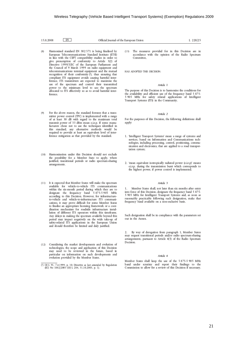| 15.8.2008 | $+$ EN, | Official Journal of the European Union |
|-----------|---------|----------------------------------------|
|-----------|---------|----------------------------------------|

- $(8)$ Harmonised standard EN 302 571 is being finalised by European Telecommunications Standard Institute (ETSI) in line with the CEPT compatibility studies in order to give presumption of conformity to Article 3(2) of Directive 1999/5/EC of the European Parliament and the Council of 9 March 1999 on radio equipment and telecommunications terminal equipment and the mutual recognition of their conformity (1), thus ensuring that compliant ITS equipment avoids causing harmful interference. ITS transmitters are expected to maximise the use of the spectrum and control their transmitted power to the minimum level to use the spectrum<br>allocated to ITS effectively so as to avoid harmful interference.
- For the above reason, the standard foresees that a trans- $(9)$ mitter power control (TPC) is implemented with a range of at least 30 dB with regard to the maximum total transmit power of 33 dBm mean e.i.r.p. If some manufacturers chose not to use the techniques identified in this standard, any alternative methods would be required to provide at least an equivalent level of interference mitigation as that provided by the standard.
- Harmonisation under this Decision should not exclude  $(10)$ the possibility for a Member State to apply, where justified, transitional periods or radio spectrum-sharing arrangements.
- $(11)$ It is expected that Member States will make the spectrum available for vehicle-to-vehicle ITS communications within the six-month period during which they are to designate the frequency band 5 875-5 905 MHz according to this Decision. However, for infrastructureto-vehicle and vehicle-to-infrastructure ITS communications, it may prove difficult for some Member States to finalise an appropriate licensing framework or a coordination mechanism for roadside infrastructure installation of different ITS operators within this timeframe. Any delays in making the spectrum available beyond this period may impact negatively on the wide take-up of safety-related ITS applications in the European Union and should therefore be limited and duly justified.
- (12) Considering the market developments and evolution of technologies, the scope and application of this Decision may need to be reviewed in the future, based in particular on information on such developments and<br>evolution provided by the Member States.

The measures provided for in this Decision are in  $(13)$ accordance with the opinion of the Radio Spectrum Committee.

L 220/25

HAS ADOPTED THIS DECISION:

#### Article 1

The purpose of this Decision is to harmonise the conditions for the availability and efficient use of the frequency band 5 875-<br>5 905 MHz for safety related applications of Intelligent Transport Systems (ITS) in the Community.

#### Article 2

For the purposes of this Decision, the following definitions shall apply:

- 1. 'Intelligent Transport Systems' mean a range of systems and services, based on Information and Communications technologies, including processing, control, positioning, communication and electronics, that are applied to a road transportation system:
- 2. 'mean equivalent isotropically radiated power (e.i.r.p)' means e.i.r.p. during the transmission burst which corresponds to the highest power, if power control is implemented.

#### Article 3

 $\mathbf{1}$ . Member States shall, not later than six months after entry into force of this Decision, designate the frequency band 5 875-5 905 MHz for Intelligent Transport Systems and, as soon as reasonably practicable following such designation, make that frequency band available on a non-exclusive basis.

Such designation shall be in compliance with the parameters set out in the Annex.

By way of derogation from paragraph 1, Member States 2. may request transitional periods and/or radio spectrum-sharing arrangements, pursuant to Article  $4(5)$  of the Radio Spectrum Decision.

#### Article 4

Member States shall keep the use of the 5 875-5 905 MHz band under scrutiny and report their findings to the Commission to allow for a review of this Decision if necessary.

<sup>(</sup> $\overline{1}$ ) OJ L 91, 7.4.1999, p. 10. Directive as last amended by Regulation (EC) No  $1882/2003$  (OJ L 284, 31.10.2003, p. 1).